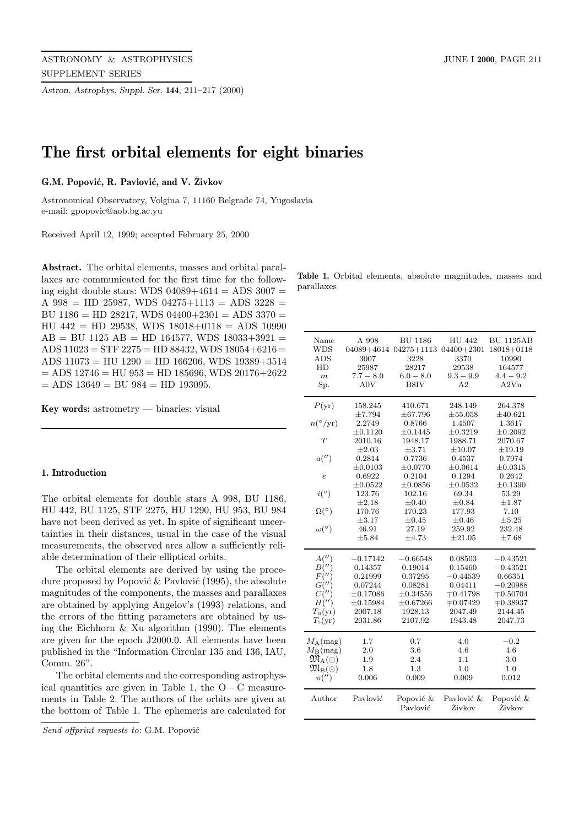*Astron. Astrophys. Suppl. Ser.* **144**, 211–217 (2000)

# **The first orbital elements for eight binaries**

### $G.M.$  Popović, R. Pavlović, and V. Živkov

Astronomical Observatory, Volgina 7, 11160 Belgrade 74, Yugoslavia e-mail: gpopovic@aob.bg.ac.yu

Received April 12, 1999; accepted February 25, 2000

**Abstract.** The orbital elements, masses and orbital parallaxes are communicated for the first time for the following eight double stars: WDS  $04089+4614 =$  ADS  $3007 =$ A 998 = HD 25987, WDS 04275+1113 = ADS 3228 = BU 1186 = HD 28217, WDS  $04400+2301 =$  ADS 3370 = HU 442 = HD 29538, WDS 18018+0118 = ADS 10990  $AB = BU$  1125  $AB = HD$  164577, WDS 18033+3921 = ADS  $11023 = STF 2275 = HD 88432$ , WDS  $18054+6216 =$ ADS 11073 = HU 1290 = HD 166206, WDS 19389+3514  $=$  ADS 12746  $=$  HU 953  $=$  HD 185696, WDS 20176+2622  $=$  ADS 13649  $=$  BU 984  $=$  HD 193095.

**Key words:** astrometry — binaries: visual

#### **1. Introduction**

The orbital elements for double stars A 998, BU 1186, HU 442, BU 1125, STF 2275, HU 1290, HU 953, BU 984 have not been derived as yet. In spite of significant uncertainties in their distances, usual in the case of the visual measurements, the observed arcs allow a sufficiently reliable determination of their elliptical orbits.

The orbital elements are derived by using the procedure proposed by Popović  $\&$  Pavlović (1995), the absolute magnitudes of the components, the masses and parallaxes are obtained by applying Angelov's (1993) relations, and the errors of the fitting parameters are obtained by using the Eichhorn & Xu algorithm (1990). The elements are given for the epoch J2000.0. All elements have been published in the "Information Circular 135 and 136, IAU, Comm. 26".

The orbital elements and the corresponding astrophysical quantities are given in Table 1, the  $O - C$  measurements in Table 2. The authors of the orbits are given at the bottom of Table 1. The ephemeris are calculated for

**Table 1.** Orbital elements, absolute magnitudes, masses and parallaxes

| <b>WDS</b><br>$04275 + 1113$<br>04089+4614<br>$04400 + 2301$<br>18018+0118<br>3007<br>ADS<br>3228<br>3370<br>10990<br>HD<br>25987<br>28217<br>29538<br>164577<br>$7.7 - 8.0$<br>$6.0 - 8.0$<br>$9.3 - 9.9$<br>$4.4 - 9.2$<br>$\boldsymbol{m}$<br>A <sub>2</sub> V <sub>n</sub><br>Sp.<br>A0V<br>B8IV<br>$\rm A2$<br>$P(\text{yr})$<br>158.245<br>410.671<br>248.149<br>264.378<br>$\pm 7.794$<br>$\pm 67.796$<br>$\pm 55.058$<br>$\pm 40.621$<br>$n(^{\circ}/\mathrm{yr})$<br>2.2749<br>1.4507<br>1.3617<br>0.8766<br>$\pm 0.3219$<br>$\pm 0.1120$<br>$\pm 0.1445$<br>$\pm 0.2092$<br>T<br>2010.16<br>1948.17<br>1988.71<br>2070.67<br>$\pm 2.03$<br>±3.71<br>$\pm 10.07$<br>$\pm 19.19$<br>a('')<br>0.2814<br>0.7736<br>0.4537<br>0.7974<br>$\pm 0.0103$<br>±0.0770<br>$\pm 0.0614$<br>$\pm 0.0315$<br>0.1294<br>0.6922<br>0.2104<br>0.2642<br>$\epsilon$<br>$\pm 0.0522$<br>$\pm 0.0856$<br>$\pm 0.0532$<br>$\pm 0.1390$<br>$i(^\circ)$<br>123.76<br>102.16<br>69.34<br>53.29<br>$\pm 2.18$<br>$\pm 0.40$<br>±0.84<br>$\pm 1.87$<br>$\Omega(^\circ)$<br>170.76<br>170.23<br>177.93<br>7.10<br>$\pm 3.17$<br>$\pm 0.45$<br>$\pm 0.46$<br>$\pm 5.25$<br>$\omega(^\circ)$<br>46.91<br>27.19<br>259.92<br>232.48<br>$\pm 21.05$<br>$\pm 5.84$<br>±4.73<br>$\pm 7.68$<br>A''<br>$-0.43521$<br>$-0.17142$<br>$-0.66548$<br>0.08503<br>$B(\overline{''})$<br>0.19014<br>$-0.43521$<br>0.14357<br>0.15460<br>$F(\theta')$<br>0.21999<br>0.37295<br>$-0.44539$<br>0.66351<br>G(''')<br>0.07244<br>0.08281<br>0.04411<br>$-0.20988$<br>$C(\overline{''})$<br>$\mp 0.41798$<br>$\pm 0.17086$<br>$\pm 0.34556$<br>$\mp 0.50704$<br>$H(\theta')$<br>$\mp 0.07429$<br>$\mp 0.38937$<br>$\pm 0.15984$<br>$\pm 0.67266$<br>$T_{\rm u}(\rm yr)$<br>2007.18<br>1928.13<br>2047.49<br>2144.45<br>$T_{\rm s}({\rm yr})$<br>2031.86<br>2107.92<br>1943.48<br>2047.73<br>$M_A$ (mag)<br>1.7<br>4.0<br>$-0.2$<br>0.7<br>$M_{\rm B}$ (mag)<br>2.0<br>3.6<br>4.6<br>4.6<br>$\mathfrak{M}_{{\rm A}}(\odot)$<br>2.4<br>1.1<br>1.9<br>3.0<br>$\mathfrak{M}_{\mathrm{B}}(\odot)$<br>1.3<br>1.8<br>1.0<br>1.0<br>$\pi('')$<br>0.006<br>0.009<br>0.009<br>0.012<br>Pavlović<br>Author<br>Popović &<br>Pavlović &<br>Popović &<br>Pavlović<br>Živkov<br>Živkov | Name | A 998 | <b>BU 1186</b> | HU 442 | <b>BU 1125AB</b> |
|----------------------------------------------------------------------------------------------------------------------------------------------------------------------------------------------------------------------------------------------------------------------------------------------------------------------------------------------------------------------------------------------------------------------------------------------------------------------------------------------------------------------------------------------------------------------------------------------------------------------------------------------------------------------------------------------------------------------------------------------------------------------------------------------------------------------------------------------------------------------------------------------------------------------------------------------------------------------------------------------------------------------------------------------------------------------------------------------------------------------------------------------------------------------------------------------------------------------------------------------------------------------------------------------------------------------------------------------------------------------------------------------------------------------------------------------------------------------------------------------------------------------------------------------------------------------------------------------------------------------------------------------------------------------------------------------------------------------------------------------------------------------------------------------------------------------------------------------------------------------------------------------------------------------------------------------------------------------------------------------------------------------------------------------------------------------------------------------------------------------------------------------------------------------------------------------------------------------------------|------|-------|----------------|--------|------------------|
|                                                                                                                                                                                                                                                                                                                                                                                                                                                                                                                                                                                                                                                                                                                                                                                                                                                                                                                                                                                                                                                                                                                                                                                                                                                                                                                                                                                                                                                                                                                                                                                                                                                                                                                                                                                                                                                                                                                                                                                                                                                                                                                                                                                                                                  |      |       |                |        |                  |
|                                                                                                                                                                                                                                                                                                                                                                                                                                                                                                                                                                                                                                                                                                                                                                                                                                                                                                                                                                                                                                                                                                                                                                                                                                                                                                                                                                                                                                                                                                                                                                                                                                                                                                                                                                                                                                                                                                                                                                                                                                                                                                                                                                                                                                  |      |       |                |        |                  |
|                                                                                                                                                                                                                                                                                                                                                                                                                                                                                                                                                                                                                                                                                                                                                                                                                                                                                                                                                                                                                                                                                                                                                                                                                                                                                                                                                                                                                                                                                                                                                                                                                                                                                                                                                                                                                                                                                                                                                                                                                                                                                                                                                                                                                                  |      |       |                |        |                  |
|                                                                                                                                                                                                                                                                                                                                                                                                                                                                                                                                                                                                                                                                                                                                                                                                                                                                                                                                                                                                                                                                                                                                                                                                                                                                                                                                                                                                                                                                                                                                                                                                                                                                                                                                                                                                                                                                                                                                                                                                                                                                                                                                                                                                                                  |      |       |                |        |                  |
|                                                                                                                                                                                                                                                                                                                                                                                                                                                                                                                                                                                                                                                                                                                                                                                                                                                                                                                                                                                                                                                                                                                                                                                                                                                                                                                                                                                                                                                                                                                                                                                                                                                                                                                                                                                                                                                                                                                                                                                                                                                                                                                                                                                                                                  |      |       |                |        |                  |
|                                                                                                                                                                                                                                                                                                                                                                                                                                                                                                                                                                                                                                                                                                                                                                                                                                                                                                                                                                                                                                                                                                                                                                                                                                                                                                                                                                                                                                                                                                                                                                                                                                                                                                                                                                                                                                                                                                                                                                                                                                                                                                                                                                                                                                  |      |       |                |        |                  |
|                                                                                                                                                                                                                                                                                                                                                                                                                                                                                                                                                                                                                                                                                                                                                                                                                                                                                                                                                                                                                                                                                                                                                                                                                                                                                                                                                                                                                                                                                                                                                                                                                                                                                                                                                                                                                                                                                                                                                                                                                                                                                                                                                                                                                                  |      |       |                |        |                  |
|                                                                                                                                                                                                                                                                                                                                                                                                                                                                                                                                                                                                                                                                                                                                                                                                                                                                                                                                                                                                                                                                                                                                                                                                                                                                                                                                                                                                                                                                                                                                                                                                                                                                                                                                                                                                                                                                                                                                                                                                                                                                                                                                                                                                                                  |      |       |                |        |                  |
|                                                                                                                                                                                                                                                                                                                                                                                                                                                                                                                                                                                                                                                                                                                                                                                                                                                                                                                                                                                                                                                                                                                                                                                                                                                                                                                                                                                                                                                                                                                                                                                                                                                                                                                                                                                                                                                                                                                                                                                                                                                                                                                                                                                                                                  |      |       |                |        |                  |
|                                                                                                                                                                                                                                                                                                                                                                                                                                                                                                                                                                                                                                                                                                                                                                                                                                                                                                                                                                                                                                                                                                                                                                                                                                                                                                                                                                                                                                                                                                                                                                                                                                                                                                                                                                                                                                                                                                                                                                                                                                                                                                                                                                                                                                  |      |       |                |        |                  |
|                                                                                                                                                                                                                                                                                                                                                                                                                                                                                                                                                                                                                                                                                                                                                                                                                                                                                                                                                                                                                                                                                                                                                                                                                                                                                                                                                                                                                                                                                                                                                                                                                                                                                                                                                                                                                                                                                                                                                                                                                                                                                                                                                                                                                                  |      |       |                |        |                  |
|                                                                                                                                                                                                                                                                                                                                                                                                                                                                                                                                                                                                                                                                                                                                                                                                                                                                                                                                                                                                                                                                                                                                                                                                                                                                                                                                                                                                                                                                                                                                                                                                                                                                                                                                                                                                                                                                                                                                                                                                                                                                                                                                                                                                                                  |      |       |                |        |                  |
|                                                                                                                                                                                                                                                                                                                                                                                                                                                                                                                                                                                                                                                                                                                                                                                                                                                                                                                                                                                                                                                                                                                                                                                                                                                                                                                                                                                                                                                                                                                                                                                                                                                                                                                                                                                                                                                                                                                                                                                                                                                                                                                                                                                                                                  |      |       |                |        |                  |
|                                                                                                                                                                                                                                                                                                                                                                                                                                                                                                                                                                                                                                                                                                                                                                                                                                                                                                                                                                                                                                                                                                                                                                                                                                                                                                                                                                                                                                                                                                                                                                                                                                                                                                                                                                                                                                                                                                                                                                                                                                                                                                                                                                                                                                  |      |       |                |        |                  |
|                                                                                                                                                                                                                                                                                                                                                                                                                                                                                                                                                                                                                                                                                                                                                                                                                                                                                                                                                                                                                                                                                                                                                                                                                                                                                                                                                                                                                                                                                                                                                                                                                                                                                                                                                                                                                                                                                                                                                                                                                                                                                                                                                                                                                                  |      |       |                |        |                  |
|                                                                                                                                                                                                                                                                                                                                                                                                                                                                                                                                                                                                                                                                                                                                                                                                                                                                                                                                                                                                                                                                                                                                                                                                                                                                                                                                                                                                                                                                                                                                                                                                                                                                                                                                                                                                                                                                                                                                                                                                                                                                                                                                                                                                                                  |      |       |                |        |                  |
|                                                                                                                                                                                                                                                                                                                                                                                                                                                                                                                                                                                                                                                                                                                                                                                                                                                                                                                                                                                                                                                                                                                                                                                                                                                                                                                                                                                                                                                                                                                                                                                                                                                                                                                                                                                                                                                                                                                                                                                                                                                                                                                                                                                                                                  |      |       |                |        |                  |
|                                                                                                                                                                                                                                                                                                                                                                                                                                                                                                                                                                                                                                                                                                                                                                                                                                                                                                                                                                                                                                                                                                                                                                                                                                                                                                                                                                                                                                                                                                                                                                                                                                                                                                                                                                                                                                                                                                                                                                                                                                                                                                                                                                                                                                  |      |       |                |        |                  |
|                                                                                                                                                                                                                                                                                                                                                                                                                                                                                                                                                                                                                                                                                                                                                                                                                                                                                                                                                                                                                                                                                                                                                                                                                                                                                                                                                                                                                                                                                                                                                                                                                                                                                                                                                                                                                                                                                                                                                                                                                                                                                                                                                                                                                                  |      |       |                |        |                  |
|                                                                                                                                                                                                                                                                                                                                                                                                                                                                                                                                                                                                                                                                                                                                                                                                                                                                                                                                                                                                                                                                                                                                                                                                                                                                                                                                                                                                                                                                                                                                                                                                                                                                                                                                                                                                                                                                                                                                                                                                                                                                                                                                                                                                                                  |      |       |                |        |                  |
|                                                                                                                                                                                                                                                                                                                                                                                                                                                                                                                                                                                                                                                                                                                                                                                                                                                                                                                                                                                                                                                                                                                                                                                                                                                                                                                                                                                                                                                                                                                                                                                                                                                                                                                                                                                                                                                                                                                                                                                                                                                                                                                                                                                                                                  |      |       |                |        |                  |
|                                                                                                                                                                                                                                                                                                                                                                                                                                                                                                                                                                                                                                                                                                                                                                                                                                                                                                                                                                                                                                                                                                                                                                                                                                                                                                                                                                                                                                                                                                                                                                                                                                                                                                                                                                                                                                                                                                                                                                                                                                                                                                                                                                                                                                  |      |       |                |        |                  |
|                                                                                                                                                                                                                                                                                                                                                                                                                                                                                                                                                                                                                                                                                                                                                                                                                                                                                                                                                                                                                                                                                                                                                                                                                                                                                                                                                                                                                                                                                                                                                                                                                                                                                                                                                                                                                                                                                                                                                                                                                                                                                                                                                                                                                                  |      |       |                |        |                  |
|                                                                                                                                                                                                                                                                                                                                                                                                                                                                                                                                                                                                                                                                                                                                                                                                                                                                                                                                                                                                                                                                                                                                                                                                                                                                                                                                                                                                                                                                                                                                                                                                                                                                                                                                                                                                                                                                                                                                                                                                                                                                                                                                                                                                                                  |      |       |                |        |                  |
|                                                                                                                                                                                                                                                                                                                                                                                                                                                                                                                                                                                                                                                                                                                                                                                                                                                                                                                                                                                                                                                                                                                                                                                                                                                                                                                                                                                                                                                                                                                                                                                                                                                                                                                                                                                                                                                                                                                                                                                                                                                                                                                                                                                                                                  |      |       |                |        |                  |
|                                                                                                                                                                                                                                                                                                                                                                                                                                                                                                                                                                                                                                                                                                                                                                                                                                                                                                                                                                                                                                                                                                                                                                                                                                                                                                                                                                                                                                                                                                                                                                                                                                                                                                                                                                                                                                                                                                                                                                                                                                                                                                                                                                                                                                  |      |       |                |        |                  |
|                                                                                                                                                                                                                                                                                                                                                                                                                                                                                                                                                                                                                                                                                                                                                                                                                                                                                                                                                                                                                                                                                                                                                                                                                                                                                                                                                                                                                                                                                                                                                                                                                                                                                                                                                                                                                                                                                                                                                                                                                                                                                                                                                                                                                                  |      |       |                |        |                  |
|                                                                                                                                                                                                                                                                                                                                                                                                                                                                                                                                                                                                                                                                                                                                                                                                                                                                                                                                                                                                                                                                                                                                                                                                                                                                                                                                                                                                                                                                                                                                                                                                                                                                                                                                                                                                                                                                                                                                                                                                                                                                                                                                                                                                                                  |      |       |                |        |                  |
|                                                                                                                                                                                                                                                                                                                                                                                                                                                                                                                                                                                                                                                                                                                                                                                                                                                                                                                                                                                                                                                                                                                                                                                                                                                                                                                                                                                                                                                                                                                                                                                                                                                                                                                                                                                                                                                                                                                                                                                                                                                                                                                                                                                                                                  |      |       |                |        |                  |
|                                                                                                                                                                                                                                                                                                                                                                                                                                                                                                                                                                                                                                                                                                                                                                                                                                                                                                                                                                                                                                                                                                                                                                                                                                                                                                                                                                                                                                                                                                                                                                                                                                                                                                                                                                                                                                                                                                                                                                                                                                                                                                                                                                                                                                  |      |       |                |        |                  |
|                                                                                                                                                                                                                                                                                                                                                                                                                                                                                                                                                                                                                                                                                                                                                                                                                                                                                                                                                                                                                                                                                                                                                                                                                                                                                                                                                                                                                                                                                                                                                                                                                                                                                                                                                                                                                                                                                                                                                                                                                                                                                                                                                                                                                                  |      |       |                |        |                  |
|                                                                                                                                                                                                                                                                                                                                                                                                                                                                                                                                                                                                                                                                                                                                                                                                                                                                                                                                                                                                                                                                                                                                                                                                                                                                                                                                                                                                                                                                                                                                                                                                                                                                                                                                                                                                                                                                                                                                                                                                                                                                                                                                                                                                                                  |      |       |                |        |                  |
|                                                                                                                                                                                                                                                                                                                                                                                                                                                                                                                                                                                                                                                                                                                                                                                                                                                                                                                                                                                                                                                                                                                                                                                                                                                                                                                                                                                                                                                                                                                                                                                                                                                                                                                                                                                                                                                                                                                                                                                                                                                                                                                                                                                                                                  |      |       |                |        |                  |
|                                                                                                                                                                                                                                                                                                                                                                                                                                                                                                                                                                                                                                                                                                                                                                                                                                                                                                                                                                                                                                                                                                                                                                                                                                                                                                                                                                                                                                                                                                                                                                                                                                                                                                                                                                                                                                                                                                                                                                                                                                                                                                                                                                                                                                  |      |       |                |        |                  |
|                                                                                                                                                                                                                                                                                                                                                                                                                                                                                                                                                                                                                                                                                                                                                                                                                                                                                                                                                                                                                                                                                                                                                                                                                                                                                                                                                                                                                                                                                                                                                                                                                                                                                                                                                                                                                                                                                                                                                                                                                                                                                                                                                                                                                                  |      |       |                |        |                  |
|                                                                                                                                                                                                                                                                                                                                                                                                                                                                                                                                                                                                                                                                                                                                                                                                                                                                                                                                                                                                                                                                                                                                                                                                                                                                                                                                                                                                                                                                                                                                                                                                                                                                                                                                                                                                                                                                                                                                                                                                                                                                                                                                                                                                                                  |      |       |                |        |                  |
|                                                                                                                                                                                                                                                                                                                                                                                                                                                                                                                                                                                                                                                                                                                                                                                                                                                                                                                                                                                                                                                                                                                                                                                                                                                                                                                                                                                                                                                                                                                                                                                                                                                                                                                                                                                                                                                                                                                                                                                                                                                                                                                                                                                                                                  |      |       |                |        |                  |
|                                                                                                                                                                                                                                                                                                                                                                                                                                                                                                                                                                                                                                                                                                                                                                                                                                                                                                                                                                                                                                                                                                                                                                                                                                                                                                                                                                                                                                                                                                                                                                                                                                                                                                                                                                                                                                                                                                                                                                                                                                                                                                                                                                                                                                  |      |       |                |        |                  |
|                                                                                                                                                                                                                                                                                                                                                                                                                                                                                                                                                                                                                                                                                                                                                                                                                                                                                                                                                                                                                                                                                                                                                                                                                                                                                                                                                                                                                                                                                                                                                                                                                                                                                                                                                                                                                                                                                                                                                                                                                                                                                                                                                                                                                                  |      |       |                |        |                  |

Send offprint requests to: G.M. Popović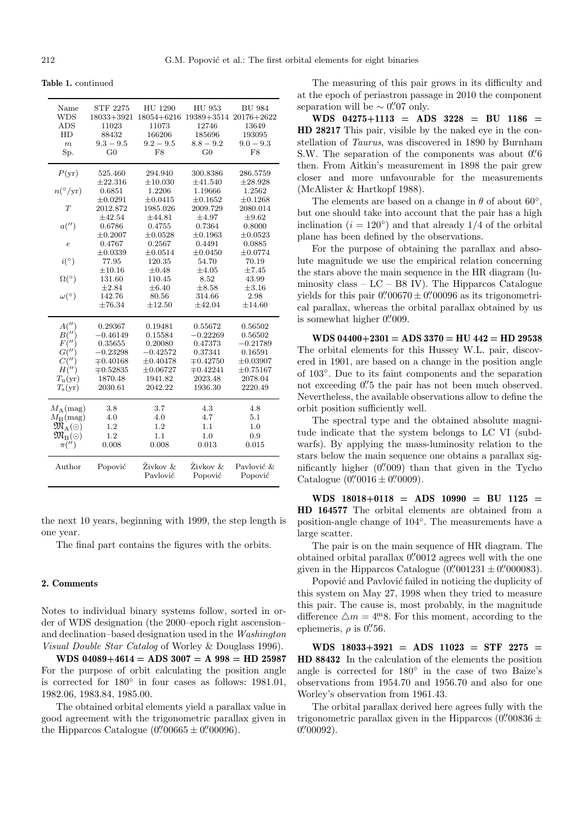**Table 1.** continued

| Name<br><b>WDS</b><br>ADS<br>HD<br>$\boldsymbol{m}$<br>Sp.                                                                                                                    | <b>STF 2275</b><br>18033+3921<br>11023<br>88432<br>$9.3 - 9.5$<br>$_{\rm G0}$                                                                                                              | HU 1290<br>$18054 + 6216$<br>11073<br>166206<br>$9.2 - 9.5$<br>F8                                                                                                                    | HU 953<br>19389+3514<br>12746<br>185696<br>$8.8 - 9.2$<br>G <sub>0</sub>                                                                                                            | <b>BU 984</b><br>20176+2622<br>13649<br>193095<br>$9.0 - 9.3$<br>F8                                                                                                               |
|-------------------------------------------------------------------------------------------------------------------------------------------------------------------------------|--------------------------------------------------------------------------------------------------------------------------------------------------------------------------------------------|--------------------------------------------------------------------------------------------------------------------------------------------------------------------------------------|-------------------------------------------------------------------------------------------------------------------------------------------------------------------------------------|-----------------------------------------------------------------------------------------------------------------------------------------------------------------------------------|
| $P(\text{yr})$<br>$n(^{\circ}/\mathrm{yr})$<br>T<br>a('')<br>$\overline{e}$<br>i(°)<br>$\Omega$ <sup>(<math>\circ</math></sup> )<br>$\omega$ <sup>(<math>\circ</math></sup> ) | 525.460<br>$\pm 22.316$<br>0.6851<br>$\pm 0.0291$<br>2012.872<br>$\pm 42.54$<br>0.6786<br>$\pm 0.2007$<br>0.4767<br>$\pm 0.0339$<br>77.95<br>$\pm 10.16$<br>131.60<br>$\pm 2.84$<br>142.76 | 294.940<br>$\pm 10.030$<br>1.2206<br>$\pm 0.0415$<br>1985.026<br>±44.81<br>0.4755<br>$\pm 0.0528$<br>0.2567<br>$\pm 0.0514$<br>120.35<br>$\pm 0.48$<br>110.45<br>$\pm 6.40$<br>80.56 | 300.8386<br>±41.540<br>1.19666<br>$\pm 0.1652$<br>2009.729<br>$\pm 4.97$<br>0.7364<br>$\pm 0.1963$<br>0.4491<br>$\pm 0.0450$<br>54.70<br>$\pm 4.05$<br>8.52<br>$\pm 8.58$<br>314.66 | 286.5759<br>$\pm 28.928$<br>1.2562<br>$\pm 0.1268$<br>2080.014<br>$\pm 9.62$<br>0.8000<br>$\pm 0.0523$<br>0.0885<br>$\pm 0.0774$<br>70.19<br>±7.45<br>43.99<br>$\pm 3.16$<br>2.98 |
| A''<br>$B($ "<br>F('')<br>$G($ $^{\prime\prime}$<br>$C($ "<br>H'''<br>$T_{\rm u}(\rm yr)$<br>$T_{\rm s}({\rm yr})$                                                            | $\pm 76.34$<br>0.29367<br>$-0.46149$<br>0.35655<br>$-0.23298$<br>$\mp 0.40168$<br>$\mp 0.52835$<br>1870.48<br>2030.61                                                                      | ±12.50<br>0.19481<br>0.15584<br>0.20080<br>$-0.42572$<br>$\pm 0.40478$<br>$\pm 0.06727$<br>1941.82<br>2042.22                                                                        | $\pm 42.04$<br>0.55672<br>$-0.22269$<br>0.47373<br>0.37341<br>$\mp 0.42750$<br>$\mp 0.42241$<br>2023.48<br>1936.30                                                                  | ±14.60<br>0.56502<br>0.56502<br>$-0.21789$<br>0.16591<br>$\pm 0.03907$<br>$\pm 0.75167$<br>2078.04<br>2220.49                                                                     |
| $M_A$ (mag)<br>$M_{\rm B}$ (mag)<br>$\mathfrak{M}_\mathrm{A}(\odot)$<br>$\mathfrak{M}_{\mathrm{B}}(\odot)$<br>$\pi('')$<br>Author                                             | 3.8<br>4.0<br>1.2<br>1.2<br>0.008<br>Popović                                                                                                                                               | 3.7<br>4.0<br>1.2<br>1.1<br>0.008<br>Živkov &<br>Pavlović                                                                                                                            | 4.3<br>4.7<br>1.1<br>1.0<br>0.013<br>Živkov &<br>Popović                                                                                                                            | 4.8<br>5.1<br>1.0<br>0.9<br>0.015<br>Pavlović &<br>Popović                                                                                                                        |

the next 10 years, beginning with 1999, the step length is one year.

The final part contains the figures with the orbits.

### **2. Comments**

Notes to individual binary systems follow, sorted in order of WDS designation (the 2000–epoch right ascension– and declination–based designation used in the Washington Visual Double Star Catalog of Worley & Douglass 1996).

**WDS 04089+4614 = ADS 3007 = A 998 = HD 25987** For the purpose of orbit calculating the position angle is corrected for 180◦ in four cases as follows: 1981.01, 1982.06, 1983.84, 1985.00.

The obtained orbital elements yield a parallax value in good agreement with the trigonometric parallax given in the Hipparcos Catalogue  $(0.00665 \pm 0.00096)$ .

The measuring of this pair grows in its difficulty and at the epoch of periastron passage in 2010 the component separation will be  $\sim 0\rlap{.}^{\prime\prime}07$  only.

**WDS 04275+1113 = ADS 3228 = BU 1186 = HD 28217** This pair, visible by the naked eye in the constellation of Taurus, was discovered in 1890 by Burnham S.W. The separation of the components was about  $0\rlap.{''}6$ then. From Aitkin's measurement in 1898 the pair grew closer and more unfavourable for the measurements (McAlister & Hartkopf 1988).

The elements are based on a change in  $\theta$  of about 60<sup>°</sup>. but one should take into account that the pair has a high inclination ( $i = 120°$ ) and that already 1/4 of the orbital plane has been defined by the observations.

For the purpose of obtaining the parallax and absolute magnitude we use the empirical relation concerning the stars above the main sequence in the HR diagram (luminosity class –  $LC - B8$  IV). The Hipparcos Catalogue yields for this pair  $0''00670 \pm 0''00096$  as its trigonometrical parallax, whereas the orbital parallax obtained by us is somewhat higher  $0\rlap.{''}009$ .

**WDS 04400+2301 = ADS 3370 = HU 442 = HD 29538** The orbital elements for this Hussey W.L. pair, discovered in 1901, are based on a change in the position angle of 103◦. Due to its faint components and the separation not exceeding  $0\rlap{.}^{\prime\prime}5$  the pair has not been much observed. Nevertheless, the available observations allow to define the orbit position sufficiently well.

The spectral type and the obtained absolute magnitude indicate that the system belongs to LC VI (subdwarfs). By applying the mass-luminosity relation to the stars below the main sequence one obtains a parallax significantly higher  $(0.009)$  than that given in the Tycho Catalogue  $(0.^{\prime\prime}0016 \pm 0.^{\prime\prime}0009).$ 

**WDS 18018+0118 = ADS 10990 = BU 1125 = HD 164577** The orbital elements are obtained from a position-angle change of 104◦. The measurements have a large scatter.

The pair is on the main sequence of HR diagram. The obtained orbital parallax  $0.^{\prime\prime}0012$  agrees well with the one given in the Hipparcos Catalogue  $(0.^{\prime\prime}001231\pm0.^{\prime\prime}000083).$ 

Popović and Pavlović failed in noticing the duplicity of this system on May 27, 1998 when they tried to measure this pair. The cause is, most probably, in the magnitude difference  $\Delta m = 4^{\text{m}}$ 8. For this moment, according to the ephemeris,  $\rho$  is 0. 0.56.

**WDS 18033+3921 = ADS 11023 = STF 2275 = HD 88432** In the calculation of the elements the position angle is corrected for 180◦ in the case of two Baize's observations from 1954.70 and 1956.70 and also for one Worley's observation from 1961.43.

The orbital parallax derived here agrees fully with the trigonometric parallax given in the Hipparcos (0.  $0\frac{1}{00836} \pm$  $0\rlap.{''}00092$ ).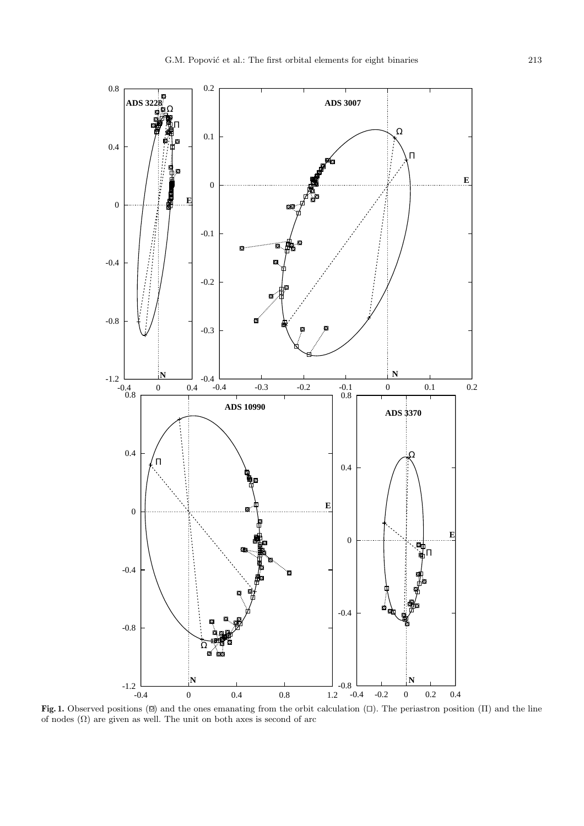

**Fig. 1.** Observed positions (⊠) and the ones emanating from the orbit calculation (□). The periastron position (Π) and the line of nodes  $(\Omega)$  are given as well. The unit on both axes is second of arc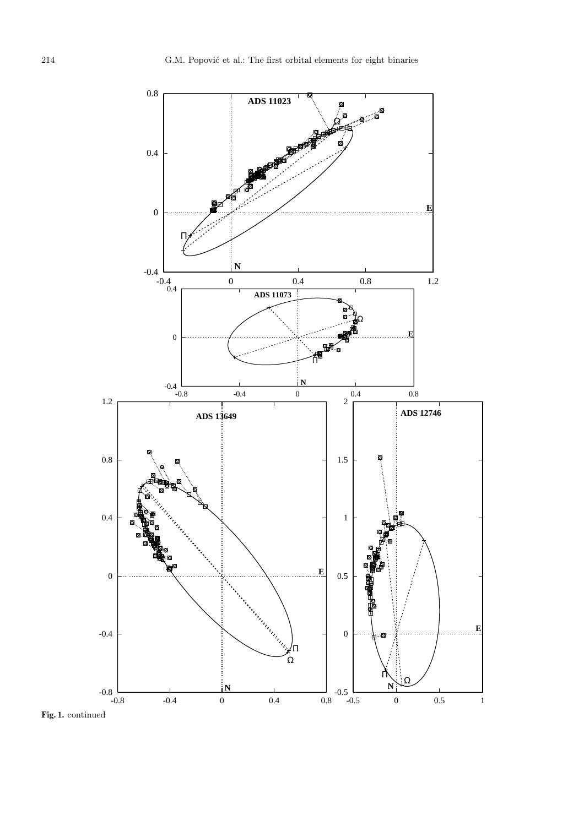

**Fig. 1.** continued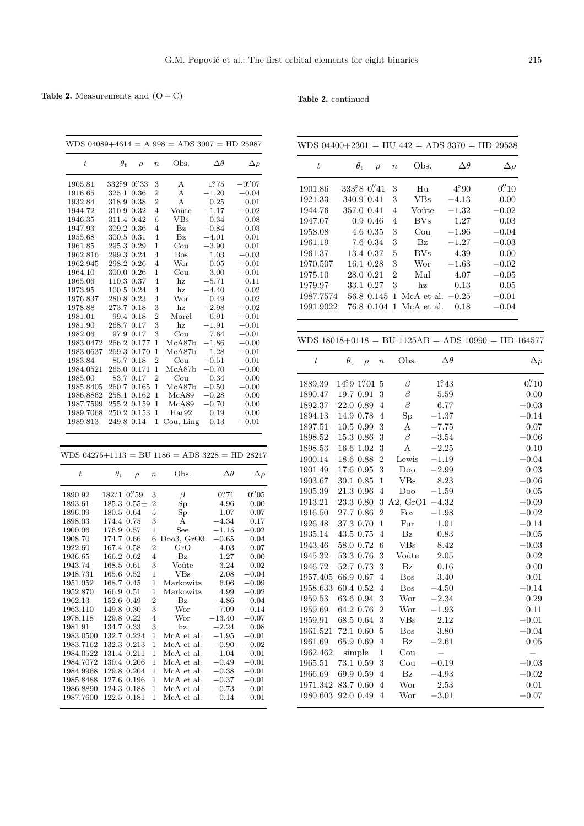# **Table 2.** Measurements and  $(O - C)$

### **Table 2.** continued

|                  |                  |                              |                  | WDS $04089+4614 = A\ 998 = ADS\ 3007 = HD\ 25987$ |                |                              |
|------------------|------------------|------------------------------|------------------|---------------------------------------------------|----------------|------------------------------|
| $\scriptstyle t$ | $\theta_{\rm t}$ | $\rho$                       | $\boldsymbol{n}$ | Obs.                                              | $\Delta\theta$ | $\Delta \rho$                |
| 1905.81          | 332°9            | 0''33                        | 3                | А                                                 | 1.275          | $-0.^{\prime\prime}07$       |
| 1916.65          | 325.1            | 0.36                         | 2                | А                                                 | $-1.20$        | $-0.04$                      |
| 1932.84          | 318.9            | 0.38                         | 2                | А                                                 | 0.25           | 0.01                         |
| 1944.72          | 310.9            | 0.32                         | $\overline{4}$   | Voûte                                             | $-1.17$        | $^{ -0.02}$                  |
| 1946.35          | 311.4            | 0.42                         | 6                | VBs                                               | 0.34           | 0.08                         |
| 1947.93          | 309.2            | 0.36                         | 4                | $_{\rm Bz}$                                       | $-0.84$        | 0.03                         |
| 1955.68          | 300.5            | 0.31                         | 4                | $\mathbf{B}z$                                     | $-4.01$        | 0.01                         |
| 1961.85          | 295.3            | 0.29                         | 1                | $_{\text{Cou}}$                                   | $-3.90$        | 0.01                         |
| 1962.816         | 299.3            | 0.24                         | $\overline{4}$   | Bos                                               | 1.03           | -0.03                        |
| 1962.945         | 298.2            | 0.26                         | $\overline{4}$   | Wor                                               | 0.05           | $-0.01$                      |
| 1964.10          | 300.0            | 0.26                         | 1                | $_{\rm{Cou}}$                                     | 3.00           | $-0.01$                      |
| 1965.06          | 110.3            | 0.37                         | $\overline{4}$   | hz                                                | $-5.71$        | 0.11                         |
| 1973.95          | 100.5            | 0.24                         | $\overline{4}$   | hz                                                | -4.40          | 0.02                         |
| 1976.837         | 280.8            | 0.23                         | 4                | Wor                                               | 0.49           | 0.02                         |
| 1978.88          | 273.7            | 0.18                         | 3                | hz                                                | $-2.98$        | $-0.02$                      |
| 1981.01          | 99.4             | 0.18                         | $\overline{2}$   | Morel                                             | 6.91           | $-0.01$                      |
| 1981.90          | 268.7            | 0.17                         | 3                | hz                                                | $-1.91$        | $-0.01$                      |
| 1982.06          | 97.9             | 0.17                         | 3                | $_{\rm{Cou}}$                                     | 7.64           | $-0.01$                      |
| 1983.0472        | 266.2            | 0.177                        | 1                | McA87b                                            | $-1.86$        | -0.00                        |
| 1983.0637        |                  | 269.3 0.170                  | $\mathbf 1$      | McA87b                                            | 1.28           | $-0.01$                      |
| 1983.84          | 85.7             | 0.18                         | $\overline{2}$   | $_{\rm{Cou}}$                                     | $-0.51$        | 0.01                         |
| 1984.0521        | 265.0            | 0.171                        | $\mathbf 1$      | McA87b                                            | $-0.70$        | $-0.00$                      |
| 1985.00          | 83.7             | 0.17                         | $\overline{2}$   | $_{\rm{Cou}}$                                     | 0.34           | 0.00                         |
| 1985.8405        | 260.7            | 0.165                        | $\mathbf 1$      | McA87b                                            | $-0.50$        | $-0.00$                      |
| 1986.8862        | 258.1            | 0.162                        | 1                | McA89                                             | $-0.28$        | 0.00                         |
| 1987.7599        | 255.2            | 0.159                        | $\mathbf 1$      | McA89                                             | $-0.70$        | 0.00                         |
| 1989.7068        | 250.2            | 0.153                        | $\mathbf 1$      | Har92                                             | 0.19           | 0.00                         |
| 1989.813         |                  | 249.8 0.14                   | 1                | Cou, Ling                                         | 0.13           | 0.01                         |
|                  |                  |                              |                  |                                                   |                |                              |
|                  |                  |                              |                  |                                                   |                |                              |
|                  |                  |                              |                  | WDS $04275+1113 = BU$ 1186 = ADS 3228 = HD 28217  |                |                              |
| $\boldsymbol{t}$ | $\theta_{\rm t}$ | $\rho$                       | $\boldsymbol{n}$ | Obs.                                              | $\Delta\theta$ | $\Delta \rho$                |
| 1890.92          | 182°1            | $0\rlap{.}^{\prime\prime}59$ | 3                | $\beta$                                           | 0.071          | $0\rlap{.}^{\prime\prime}05$ |
| 1893.61          | 185.3            | $0.55\pm$                    | $\overline{2}$   | Sp                                                | 4.96           | 0.00                         |
| 1896.09          | 180.5            | 0.64                         | 5                | $_{\mathrm{Sp}}$                                  | 1.07           | 0.07                         |
| 1898.03          | 174.4            | 0.75                         | 3                | А                                                 | $-4.34$        | 0.17                         |
| 1900.06          | 176.9 0.57       |                              | 1                | See                                               | $^{-1.15}$     | $-0.02$                      |
| 1908.70          | 174.7            | 0.66                         | 6                | Doo3, GrO3                                        | $-0.65$        | 0.04                         |
| 1922.60          | 167.4            | 0.58                         | 2                | GrO                                               | $^{-4.03}$     | $^{\rm -0.07}$               |
| 1936.65          | 166.2            | 0.62                         | 4                | $_{\rm Bz}$                                       | $-1.27$        | 0.00                         |
| 1943.74          | 168.5            | 0.61                         | 3                | Voûte                                             | 3.24           | 0.02                         |
| 1948.731         | 165.6 0.52       |                              | 1                | $_{\rm VBs}$                                      | 2.08           | $-0.04$                      |
| 1951.052         | 168.7 0.45       |                              | 1                | Markowitz                                         | 6.06           | $-0.09$                      |
| 1952.870         | 166.9 0.51       |                              | 1                | Markowitz                                         | 4.99           | $-0.02$                      |
| 1962.13          | 152.6            | 0.49                         | $\overline{c}$   | Bz                                                | -4.86          | 0.04                         |
| 1963.110         | 149.8            | 0.30                         | 3                | Wor                                               | $-7.09$        | $-0.14$                      |
| 1978.118         | 129.8            | 0.22                         | 4                | Wor                                               | $-13.40$       | $-0.07$                      |
| 1981.91          | 134.7            | 0.33                         | 3                | hz                                                | $-2.24$        | 0.08                         |
| 1983.0500        | 132.7            | 0.224                        | 1                | McA et al.                                        | $^{-1.95}$     | $-0.01$                      |
| 1983.7162        | 132.3            | 0.213                        | 1                | McA et al.                                        | $-0.90$        | $-0.02$                      |
| 1984.0522        | 131.4 0.211      |                              | 1                | McA et al.                                        | $-1.04$        | $-0.01$                      |
| 1984.7072        | 130.4 0.206      |                              | 1                | McA et al.                                        | $-0.49$        | $-0.01$                      |
| 1984.9968        | 129.8            | 0.204                        | 1                | McA et al.                                        | $-0.38$        | $^{ -0.01}$                  |
| 1985.8488        | 127.6            | 0.196                        | 1                | McA et al.                                        | $^{ -0.37}$    | $-0.01$                      |
| 1986.8890        | 124.3            | 0.188                        | 1                | McA et al.                                        | -0.73          | $-0.01$                      |
| 1987.7600        | 122.5            | 0.181                        | 1                | McA et al.                                        | 0.14           | $^{ -0.01}$                  |
|                  |                  |                              |                  |                                                   |                |                              |

|                  |                  |           |                |                              |                           | WDS $04400+2301 = HU$ $442 = ADS$ $3370 = HD$ $29538$      |                          |
|------------------|------------------|-----------|----------------|------------------------------|---------------------------|------------------------------------------------------------|--------------------------|
| $\it t$          | $\theta_{\rm t}$ |           | $\rho$         | Obs.<br>$\boldsymbol{n}$     |                           | $\Delta\theta$<br>$\Delta \rho$                            |                          |
| 1901.86          | 333°8 0"41       |           |                | 3<br>Hu                      | $4^\circ\hspace{-3pt}.90$ | $0.^{\prime\prime}10$                                      |                          |
| 1921.33          | 340.9 0.41       |           |                | 3<br><b>VBs</b>              | $-4.13$                   | 0.00                                                       |                          |
| 1944.76          | 357.0 0.41       |           |                | $\overline{4}$<br>Voûte      | $-1.32$                   | $-0.02$                                                    |                          |
| 1947.07          |                  | 0.9 0.46  |                | <b>BVs</b><br>$\overline{4}$ | 1.27                      | 0.03                                                       |                          |
| 1958.08          |                  | 4.6 0.35  |                | 3<br>Cou                     | $-1.96$                   | $-0.04$                                                    |                          |
| 1961.19          |                  | 7.6 0.34  |                | 3<br>Bz                      | $-1.27$                   | $-0.03$                                                    |                          |
| 1961.37          |                  | 13.4 0.37 |                | $\overline{5}$<br>$\rm{BVs}$ | 4.39                      | 0.00                                                       |                          |
| 1970.507         |                  | 16.1 0.28 |                | 3<br>Wor                     | $-1.63$                   | $-0.02$                                                    |                          |
| 1975.10          | 28.0 0.21        |           |                | $\overline{2}$<br>Mul        | 4.07                      | $-0.05$                                                    |                          |
| 1979.97          | 33.1 0.27        |           |                | 3<br>hz                      | 0.13                      | 0.05                                                       |                          |
| 1987.7574        | 56.8 0.145       |           |                | $\mathbf{1}$                 | McA et al. $-0.25$        | $-0.01$                                                    |                          |
| 1991.9022        |                  |           |                | 76.8 0.104 1 McA et al.      | 0.18                      | $-0.04$                                                    |                          |
|                  |                  |           |                |                              |                           |                                                            |                          |
|                  |                  |           |                |                              |                           | WDS $18018+0118 = BU$ $1125AB = ADS$ $10990 = HD$ $164577$ |                          |
| $\boldsymbol{t}$ | $\theta_{\rm t}$ | $\rho$    | $\it n$        | Obs.                         | $\Delta\theta$            |                                                            | $\Delta \rho$            |
| 1889.39          | 14°91"01         |           | 5              | $\beta$                      | $1^\circ\hspace{-3pt}.43$ |                                                            | 0''' 10                  |
| 1890.47          | 19.7 0.91        |           | 3              | $\beta$                      | 5.59                      |                                                            | 0.00                     |
| 1892.37          | 22.0 0.89        |           | $\overline{4}$ | $\beta$                      | 6.77                      |                                                            | $-0.03$                  |
| 1894.13          | 14.9 0.78        |           | $\overline{4}$ | Sp                           | $-1.37$                   |                                                            | $-0.14$                  |
| 1897.51          | $10.5$ 0.99      |           | 3              | Α                            | $-7.75$                   |                                                            | 0.07                     |
| 1898.52          | 15.3 0.86        |           | 3              | $\beta$                      | $-3.54$                   |                                                            | $-0.06$                  |
| 1898.53          | 16.6 1.02        |           | 3              | Α                            | $-2.25$                   |                                                            | 0.10                     |
| 1900.14          | 18.6 0.88        |           | $\overline{2}$ | Lewis                        | $-1.19$                   |                                                            | $-0.04$                  |
| 1901.49          | 17.6 0.95        |           | 3              | Doo                          | $-2.99$                   |                                                            | 0.03                     |
| 1903.67          | 30.1 0.85        |           | $\mathbf{1}$   | <b>VBs</b>                   | 8.23                      |                                                            | $-0.06$                  |
| 1905.39          | 21.3 0.96        |           | $\overline{4}$ | Doo                          | $-1.59$                   |                                                            | 0.05                     |
| 1913.21          | 23.3 0.80        |           | 3              | A2, $GrO1$                   | $-4.32$                   |                                                            | $-0.09$                  |
| 1916.50          | 27.7 0.86        |           | $\overline{2}$ | Fox                          | $-1.98$                   |                                                            | $-0.02$                  |
| 1926.48          | 37.3 0.70        |           | $\mathbf 1$    | Fur                          | 1.01                      |                                                            | $-0.14$                  |
| 1935.14          | 43.5 0.75        |           | $\overline{4}$ | $\mathbf{B}z$                | 0.83                      |                                                            | $-0.05$                  |
| 1943.46          | 58.0 0.72        |           | 6              | <b>VBs</b>                   | 8.42                      |                                                            | $-0.03$                  |
| 1945.32          | 53.3 0.76        |           | 3              | Voûte                        | 2.05                      |                                                            | 0.02                     |
| 1946.72          | 52.7 0.73        |           | 3              | $\mathbf{B}z$                | 0.16                      |                                                            | 0.00                     |
| 1957.405         | 66.9 0.67        |           | 4              | Bos                          | 3.40                      |                                                            | 0.01                     |
| 1958.633         | 60.4 0.52        |           | 4              | <b>Bos</b>                   | $-4.50$                   |                                                            | $-0.14$                  |
| 1959.53          | 63.6 0.94        |           | 3              | Wor                          | $-2.34$                   |                                                            | 0.29                     |
| 1959.69          | 64.2 0.76        |           | $\overline{2}$ | Wor                          | $-1.93$                   |                                                            | 0.11                     |
| 1959.91          | 68.5 0.64        |           | 3              | VBs                          | 2.12                      |                                                            | $-0.01$                  |
| 1961.521         | 72.1 0.60        |           | 5              | <b>Bos</b>                   | 3.80                      |                                                            | $-0.04$                  |
| 1961.69          | 65.9 0.69        |           | 4              | $\mathbf{B}z$                | $-2.61$                   |                                                            | 0.05                     |
| 1962.462         | simple           |           | $\mathbf 1$    | Cou                          | $\overline{\phantom{0}}$  |                                                            | $\overline{\phantom{0}}$ |
| 1965.51          | 73.1 0.59        |           | 3              | Cou                          | $-0.19$                   |                                                            | $-0.03$                  |
| 1966.69          | 69.9 0.59        |           | 4              | $\mathbf{B}z$                | $-4.93$                   |                                                            | $-0.02$                  |
| 1971.342         | 83.7 0.60        |           | 4              | Wor                          | 2.53                      |                                                            | 0.01                     |
| 1980.603         | 92.0 0.49        |           | 4              | Wor                          | $-3.01$                   |                                                            | $-0.07$                  |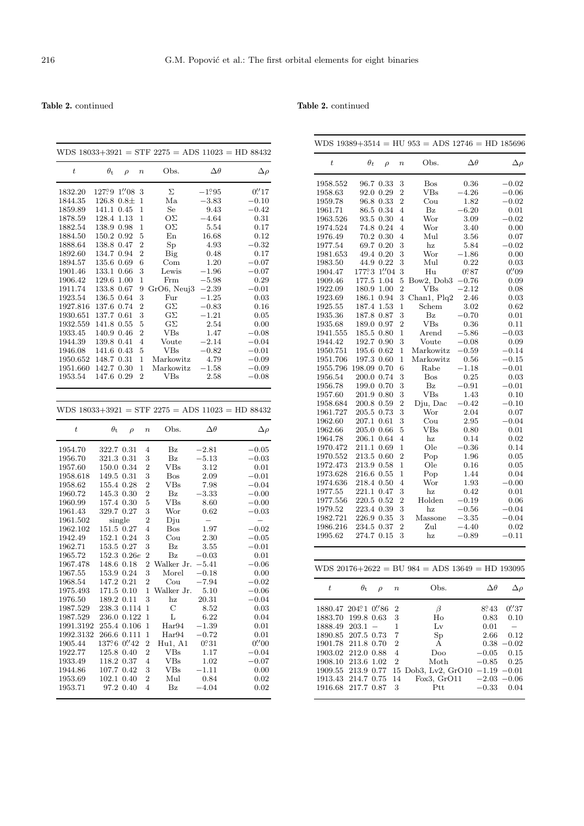**Table 2.** continued

## **Table 2.** continued

|                  |                  |        |                  |                                                    |                       | WDS $18033+3921 = STF 2275 = ADS 11023 = HD 88432$ |
|------------------|------------------|--------|------------------|----------------------------------------------------|-----------------------|----------------------------------------------------|
| $\bar{t}$        | $\theta_{\rm t}$ | $\rho$ | $\boldsymbol{n}$ | Obs.                                               | $\Delta\theta$        | $\Delta \rho$                                      |
| 1832.20          | 12799            | 1''.08 | 3                | Σ                                                  | $-1.95$               | 0.17                                               |
| 1844.35          | 126.8 0.8±       |        | $\mathbf{1}$     | Ma                                                 | $-3.83$               | $-0.10$                                            |
| 1859.89          | 141.1            | 0.45   | $\mathbf{1}$     | Se                                                 | 9.43                  | $-0.42$                                            |
| 1878.59          | 128.4            | 1.13   | 1                | ΟΣ                                                 | $-4.64$               | 0.31                                               |
| 1882.54          | 138.9 0.98       |        | $\mathbf{1}$     | ΟΣ                                                 | 5.54                  | 0.17                                               |
| 1884.50          | 150.2 0.92       |        | 5                | En                                                 | 16.68                 | 0.12                                               |
| 1888.64          | 138.8 0.47       |        | $\overline{2}$   | Sp                                                 | 4.93                  | $^{ -0.32}$                                        |
| 1892.60          | 134.7 0.94       |        | $\overline{2}$   | Big                                                | 0.48                  | 0.17                                               |
| 1894.57          | 135.6 0.69       |        | 6                | Com                                                | 1.20                  | $-0.07$                                            |
| 1901.46          | 133.1            | 0.66   | 3                | Lewis                                              | $^{-1.96}$            | $-0.07$                                            |
| 1906.42          | 129.6            | 1.00   | 1                | Frm                                                | $-5.98$               | 0.29                                               |
| 1911.74          | 133.8 0.67       |        | 9                | GrO6, Neuj3                                        | $-2.39$               | $-0.01$                                            |
| 1923.54          | 136.5 0.64       |        | 3                | Fur                                                | $-1.25$               | 0.03                                               |
| 1927.816         | 137.6 0.74       |        | $\overline{2}$   | $G\Sigma$                                          | $-0.83$               | 0.16                                               |
| 1930.651         | 137.7 0.61       |        | 3                | $G\Sigma$                                          | $-1.21$               | 0.05                                               |
| 1932.559         | 141.8 0.55       |        | 5                | $G\Sigma$                                          | 2.54                  | 0.00                                               |
| 1933.45          | 140.9 0.46       |        | $\overline{2}$   | VBs                                                | 1.47                  | $-0.08$                                            |
| 1944.39          | 139.8 0.41       |        | $\overline{4}$   | Voute                                              | $-2.14$               | $-0.04$                                            |
| 1946.08          | 141.6 0.43       |        | 5                | $_{\rm VBs}$                                       | $-0.82$               | $-0.01$                                            |
| 1950.652         | 148.7 0.31       |        | $\mathbf 1$      | Markowitz                                          | 4.79                  | $-0.09$                                            |
| 1951.660         | 142.7 0.30       |        | $\mathbf 1$      | Markowitz                                          | $-1.58$               | $-0.09$                                            |
| 1953.54          | 147.6 0.29       |        | $\overline{2}$   | $_{\rm VBs}$                                       | 2.58                  | $-0.08$                                            |
|                  |                  |        |                  |                                                    |                       |                                                    |
| $\boldsymbol{t}$ |                  |        |                  | WDS $18033+3921 = STF 2275 = ADS 11023 = HD 88432$ |                       |                                                    |
|                  | $\theta_{\rm t}$ | $\rho$ | $\boldsymbol{n}$ |                                                    | $\Delta\theta$        | $\Delta \rho$                                      |
|                  |                  |        |                  | Obs.                                               |                       |                                                    |
| 1954.70          | 322.7 0.31       |        | $\overline{4}$   | $\mathbf{B}z$                                      | $-2.81$               | $-0.05$                                            |
| 1956.70          | 321.3 0.31       |        | 3                | $\mathbf{B}z$                                      | $-5.13$               | $-0.03$                                            |
| 1957.60          | 150.0 0.34       |        | $\overline{2}$   | <b>VBs</b>                                         | 3.12                  | 0.01                                               |
| 1958.618         | 149.5            | 0.31   | 3                | <b>Bos</b>                                         | 2.09                  | $-0.01$                                            |
| 1958.62          | 155.4 0.28       |        | $\overline{2}$   | <b>VBs</b>                                         | 7.98                  | $-0.04$                                            |
| 1960.72          | 145.3 0.30       |        | $\overline{2}$   | $_{\rm Bz}$                                        | -3.33                 | $-0.00$                                            |
| 1960.99          | 157.4 0.30       |        | 5                | VBs                                                | 8.60                  | $-0.00$                                            |
| 1961.43          | 329.7 0.27       |        | 3                | Wor                                                | 0.62                  | $-0.03$                                            |
| 1961.502         |                  | single | $\overline{2}$   | Dju                                                |                       | $\overline{\phantom{0}}$                           |
| 1962.102         | 151.5 0.27       |        | $\overline{4}$   | <b>Bos</b>                                         | 1.97                  | $-0.02$                                            |
| 1942.49          | 152.1            | 0.24   | 3                | $_{\rm{Cou}}$                                      | 2.30                  | $^{\rm -0.05}$                                     |
| 1962.71          | 153.5            | 0.27   | 3                | $\mathbf{B}z$                                      | 3.55                  | $-0.01$                                            |
| 1965.72          | 152.3 0.26e      |        | $\overline{2}$   | $\rm{Bz}$                                          | $-0.03$               | 0.01                                               |
| 1967.478         | 148.6 0.18       |        | $\overline{2}$   | Walker Jr.                                         | $-5.41$               | $-0.06$                                            |
| 1967.55          | 153.9 0.24       |        | 3                | Morel                                              | $-0.18$               | 0.00                                               |
| 1968.54          | 147.2 0.21       |        | $\overline{2}$   | Cou                                                | $-7.94$               | $-0.02$                                            |
| 1975.493         | 171.5 0.10       |        | 1                | Walker Jr.                                         | 5.10                  | $-0.06$                                            |
| 1976.50          | 189.2 0.11       |        | 3                | hz                                                 | 20.31                 | $^{ -0.04}$                                        |
| 1987.529         | 238.3 0.114      |        | $\mathbf{1}$     | C                                                  | 8.52                  | 0.03                                               |
| 1987.529         | 236.0 0.122      |        | $\mathbf 1$      | Г                                                  | 6.22                  | 0.04                                               |
| 1991.3192        | 255.4 0.106      |        | $\mathbf{1}$     | Har94                                              |                       | 0.01                                               |
| 1992.3132        | 266.6 0.111      |        | $\mathbf 1$      | Har94                                              | $-1.39$<br>$-0.72$    | 0.01                                               |
| 1905.44          | 13796 0.742      |        | $\overline{2}$   | Hu1, A1                                            | $0\rlap{.}{^\circ}31$ | $0\rlap{.}^{\prime\prime}00$                       |

1922.77 125.8 0.40 2 VBs 1.17 −0.04<br>1933.49 118.2 0.37 4 VBs 1.02 −0.07 1933.49 118.2 0.37 4 VBs 1.02 −0.07<br>1944.86 107.7 0.42 3 VBs −1.11 0.00  $\begin{array}{ccccccccc} 1944.86 & & 107.7 & 0.42 & 3 & & VBs & & -1.11 & & & 0.00 \\ 1953.69 & & 102.1 & 0.40 & 2 & & Mult & & 0.84 & & & 0.02 \end{array}$ 1953.69 102.1 0.40 2 Mul 0.84 0.02<br>1953.71 97.2 0.40 4 Bz -4.04 0.02

97.2 0.40

|                    |                  |                              |                  | WDS 19389+3514 = HU 953 = ADS 12746 = HD 185696     |                |                              |
|--------------------|------------------|------------------------------|------------------|-----------------------------------------------------|----------------|------------------------------|
| $\bar{t}$          | $\theta_t$       | $\rho$                       | $\boldsymbol{n}$ | Obs.                                                | $\Delta\theta$ | $\Delta \rho$                |
| 1958.552           | 96.7             | 0.33                         | 3                | Bos                                                 | 0.36           | $-0.02\,$                    |
| 1958.63            | 92.0             | 0.29                         | $\overline{2}$   | VBs                                                 | $-4.26$        | $-0.06$                      |
| 1959.78            |                  | 96.8 0.33                    | $\overline{2}$   | $_{\rm{Cou}}$                                       | 1.82           | $-0.02\,$                    |
| 1961.71            | 86.5             | 0.34                         | $\overline{4}$   | $_{\rm Bz}$                                         | 6.20           | 0.01                         |
| 1963.526           | 93.5             | 0.30                         | 4                | Wor                                                 | 3.09           | $-0.02$                      |
| 1974.524           |                  | 74.8 0.24                    | $\overline{4}$   | Wor                                                 | 3.40           | 0.00                         |
| 1976.49            |                  | 70.2 0.30                    | 4                | Mul                                                 | 3.56           | 0.07                         |
| 1977.54            | 69.7             | 0.20                         | 3                | hz                                                  | 5.84           | $-0.02$                      |
| 1981.653           | 49.4             | 0.20                         | 3                | Wor                                                 | $-1.86$        | 0.00                         |
| 1983.50            |                  | 44.9 0.22                    | 3                | Mul                                                 | 0.22           | 0.03                         |
| 1904.47            | 177°3            | $1\rlap{.}^{\prime\prime}04$ | 3                | Hu                                                  | 0.87           | $0\rlap{.}^{\prime\prime}09$ |
| 1909.46            | 177.5            | 1.04                         | 5                | Bow2, Dob3                                          | $-0.76$        | 0.09                         |
| 1922.09            | 180.9 1.00       |                              | $\overline{2}$   | VBs                                                 | $^{-2.12}$     | 0.08                         |
| 1923.69            | 186.1 0.94       |                              | 3                | Chan1, Plq2                                         | 2.46           | 0.03                         |
| 1925.55            | 187.4 1.53       |                              | $\mathbf 1$      | Schem                                               | 3.02           | 0.62                         |
| 1935.36            | 187.8 0.87       |                              | 3                | $_{\rm Bz}$                                         | $-0.70$        | 0.01                         |
| 1935.68            | 189.0 0.97       |                              | $\overline{2}$   | VBs                                                 | 0.36           | 0.11                         |
| 1941.555           | 185.5 0.80       |                              | $\mathbf 1$      | $\rm{Arend}$                                        | -5.86          | $-0.03$                      |
| 1944.42            | 192.7 0.90       |                              | 3                | Voute                                               | $-0.08$        | 0.09                         |
| 1950.751           | 195.6 0.62       |                              | $\mathbf 1$      | Markowitz                                           | $-0.59$        | $-0.14$                      |
| 1951.706           | 197.3 0.60       |                              | 1                | Markowitz                                           | 0.56           | $^{-0.15}$                   |
| 1955.796           | 198.09 0.70      |                              | 6                | Rabe                                                | $-1.18$        | $-0.01$                      |
| 1956.54            | 200.0 0.74       |                              | 3                | <b>Bos</b>                                          | 0.25           | 0.03                         |
| 1956.78            | 199.0 0.70       |                              | 3                | $\mathbf{B}z$                                       | $-0.91$        | $-0.01$                      |
| 1957.60            | 201.9 0.80       |                              | 3                | <b>VBs</b>                                          | 1.43           | 0.10                         |
| 1958.684           | 200.8 0.59       |                              | $\overline{2}$   | Dju, Dac                                            | $-0.42$        | $-0.10$                      |
| 1961.727           | 205.5 0.73       |                              | 3                | Wor                                                 | 2.04           | 0.07                         |
| 1962.60            | 207.1            | 0.61                         | 3                | $_{\rm{Cou}}$                                       | 2.95           | $-0.04\,$                    |
| 1962.66            | 205.0 0.66       |                              | 5                | $_{\rm VBs}$                                        | 0.80           | 0.01                         |
| 1964.78            | 206.1 0.64       |                              | $\overline{4}$   | hz                                                  | 0.14           | 0.02                         |
| 1970.472           | 211.1            | 0.69                         | 1                | Ole                                                 | $-0.36$        | 0.14                         |
| 1970.552           | 213.5 0.60       |                              | $\overline{2}$   | Pop                                                 | 1.96           | 0.05                         |
| 1972.473           | 213.9 0.58       |                              | 1                | Ole                                                 | 0.16           | 0.05                         |
| 1973.628           | 216.6 0.55       |                              | $\mathbf 1$      | Pop                                                 | 1.44           | 0.04                         |
| 1974.636           | 218.4 0.50       |                              | 4                | Wor                                                 | 1.93           | $-0.00$                      |
| 1977.55            | 221.1 0.47       |                              | 3                | hz                                                  | 0.42           | 0.01                         |
| 1977.556           | 220.5 0.52       |                              | 2                | Holden                                              | $-0.19$        | 0.06                         |
| 1979.52            | 223.4 0.39       |                              | 3                | hz                                                  | -0.56          | -0.04                        |
| 1982.721           | 226.9 0.35       |                              | 3                | Massone                                             | $-3.35$        | $-0.04\,$                    |
| 1986.216           | 234.5 0.37       |                              | $\overline{2}$   | Zul                                                 | -4.40          | 0.02                         |
| 1995.62            | 274.7 0.15       |                              | 3                | hz                                                  | $-0.89$        | $-0.11\,$                    |
|                    |                  |                              |                  |                                                     |                |                              |
|                    |                  |                              |                  | WDS $20176+2622 = BU$ 984 = ADS $13649 = HD$ 193095 |                |                              |
| $\boldsymbol{t}$   | $\theta_{\rm t}$ | $\rho$                       | $\it n$          | Obs.                                                | $\Delta\theta$ | $\Delta \rho$                |
| 1880.47 204°1 0"86 |                  |                              | 2                | $\beta$                                             | 8°43           | 0''37                        |
| 1883.70            | 199.8 0.63       |                              | 3                | Ho                                                  | 0.83           | 0.10                         |
| 1888.49            | 203.1            | $\qquad \qquad -$            | 1                | Lv                                                  | 0.01           |                              |
| 1890.85            | 207.5 0.73       |                              | 7                | Sp                                                  | 2.66           | 0.12                         |
| 1901.78            | 211.8 0.70       |                              | 2                | А                                                   | 0.38           | 0.02                         |
| 1903.02            | 212.0 0.88       |                              | 4                | Doo                                                 | $-0.05$        | 0.15                         |
| 1908.10            | 213.6            | 1.02                         | $\overline{2}$   | Moth                                                | $-0.85$        | 0.25                         |
| 1909.55            | 213.9 0.77       |                              | 15               | Dob3, Lv2, GrO10                                    | $-1.19$        | 0.01                         |
| 1913.43            | 214.7 0.75       |                              | 14               | Fox3, GrO11                                         | $-2.03$        | 0.06                         |
| 1916.68            | 217.7 0.87       |                              | 3                | Ptt                                                 | $-0.33$        | 0.04                         |
|                    |                  |                              |                  |                                                     |                |                              |